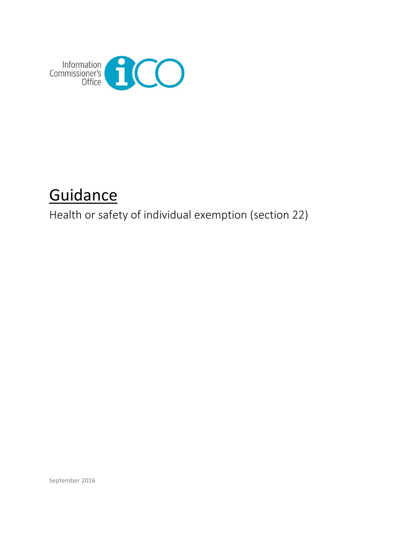

# **Guidance**

Health or safety of individual exemption (section 22)

September 2016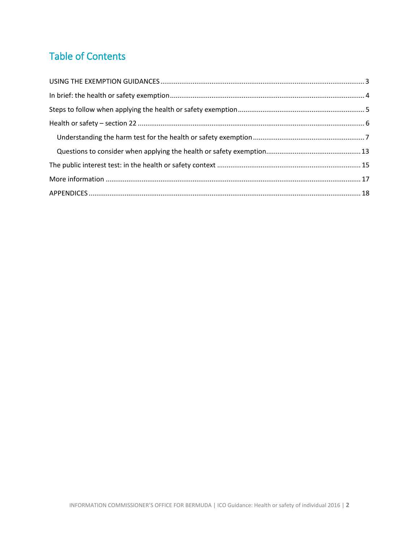# Table of Contents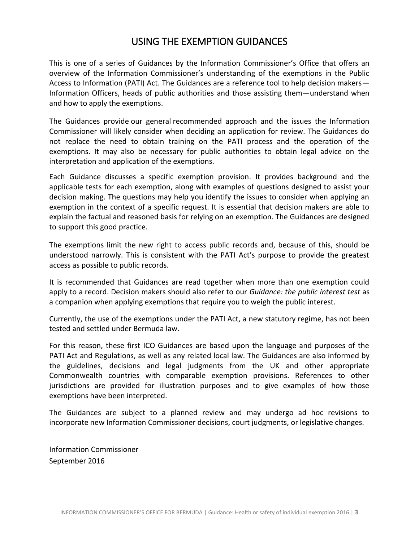# USING THE EXEMPTION GUIDANCES

<span id="page-2-0"></span>This is one of a series of Guidances by the Information Commissioner's Office that offers an overview of the Information Commissioner's understanding of the exemptions in the Public Access to Information (PATI) Act. The Guidances are a reference tool to help decision makers— Information Officers, heads of public authorities and those assisting them—understand when and how to apply the exemptions.

The Guidances provide our general recommended approach and the issues the Information Commissioner will likely consider when deciding an application for review. The Guidances do not replace the need to obtain training on the PATI process and the operation of the exemptions. It may also be necessary for public authorities to obtain legal advice on the interpretation and application of the exemptions.

Each Guidance discusses a specific exemption provision. It provides background and the applicable tests for each exemption, along with examples of questions designed to assist your decision making. The questions may help you identify the issues to consider when applying an exemption in the context of a specific request. It is essential that decision makers are able to explain the factual and reasoned basis for relying on an exemption. The Guidances are designed to support this good practice.

The exemptions limit the new right to access public records and, because of this, should be understood narrowly. This is consistent with the PATI Act's purpose to provide the greatest access as possible to public records.

It is recommended that Guidances are read together when more than one exemption could apply to a record. Decision makers should also refer to our *Guidance: the public interest test* as a companion when applying exemptions that require you to weigh the public interest.

Currently, the use of the exemptions under the PATI Act, a new statutory regime, has not been tested and settled under Bermuda law.

For this reason, these first ICO Guidances are based upon the language and purposes of the PATI Act and Regulations, as well as any related local law. The Guidances are also informed by the guidelines, decisions and legal judgments from the UK and other appropriate Commonwealth countries with comparable exemption provisions. References to other jurisdictions are provided for illustration purposes and to give examples of how those exemptions have been interpreted.

The Guidances are subject to a planned review and may undergo ad hoc revisions to incorporate new Information Commissioner decisions, court judgments, or legislative changes.

Information Commissioner September 2016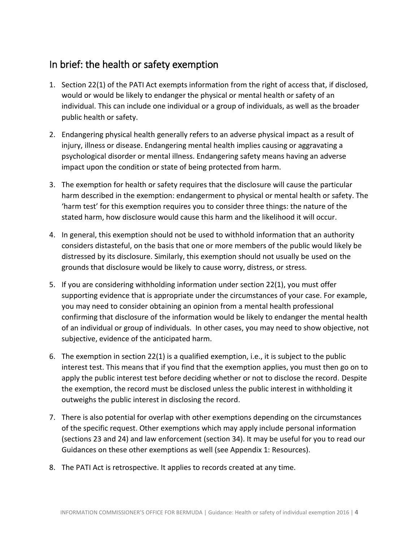# <span id="page-3-0"></span>In brief: the health or safety exemption

- 1. Section 22(1) of the PATI Act exempts information from the right of access that, if disclosed, would or would be likely to endanger the physical or mental health or safety of an individual. This can include one individual or a group of individuals, as well as the broader public health or safety.
- 2. Endangering physical health generally refers to an adverse physical impact as a result of injury, illness or disease. Endangering mental health implies causing or aggravating a psychological disorder or mental illness. Endangering safety means having an adverse impact upon the condition or state of being protected from harm.
- 3. The exemption for health or safety requires that the disclosure will cause the particular harm described in the exemption: endangerment to physical or mental health or safety. The 'harm test' for this exemption requires you to consider three things: the nature of the stated harm, how disclosure would cause this harm and the likelihood it will occur.
- 4. In general, this exemption should not be used to withhold information that an authority considers distasteful, on the basis that one or more members of the public would likely be distressed by its disclosure. Similarly, this exemption should not usually be used on the grounds that disclosure would be likely to cause worry, distress, or stress.
- 5. If you are considering withholding information under section 22(1), you must offer supporting evidence that is appropriate under the circumstances of your case. For example, you may need to consider obtaining an opinion from a mental health professional confirming that disclosure of the information would be likely to endanger the mental health of an individual or group of individuals. In other cases, you may need to show objective, not subjective, evidence of the anticipated harm.
- 6. The exemption in section 22(1) is a qualified exemption, i.e., it is subject to the public interest test. This means that if you find that the exemption applies, you must then go on to apply the public interest test before deciding whether or not to disclose the record. Despite the exemption, the record must be disclosed unless the public interest in withholding it outweighs the public interest in disclosing the record.
- 7. There is also potential for overlap with other exemptions depending on the circumstances of the specific request. Other exemptions which may apply include personal information (sections 23 and 24) and law enforcement (section 34). It may be useful for you to read our Guidances on these other exemptions as well (see Appendix 1: Resources).
- 8. The PATI Act is retrospective. It applies to records created at any time.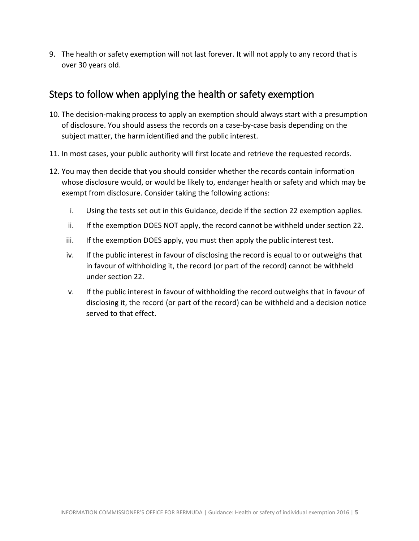9. The health or safety exemption will not last forever. It will not apply to any record that is over 30 years old.

# <span id="page-4-0"></span>Steps to follow when applying the health or safety exemption

- 10. The decision-making process to apply an exemption should always start with a presumption of disclosure. You should assess the records on a case-by-case basis depending on the subject matter, the harm identified and the public interest.
- 11. In most cases, your public authority will first locate and retrieve the requested records.
- 12. You may then decide that you should consider whether the records contain information whose disclosure would, or would be likely to, endanger health or safety and which may be exempt from disclosure. Consider taking the following actions:
	- i. Using the tests set out in this Guidance, decide if the section 22 exemption applies.
	- ii. If the exemption DOES NOT apply, the record cannot be withheld under section 22.
	- iii. If the exemption DOES apply, you must then apply the public interest test.
	- iv. If the public interest in favour of disclosing the record is equal to or outweighs that in favour of withholding it, the record (or part of the record) cannot be withheld under section 22.
	- v. If the public interest in favour of withholding the record outweighs that in favour of disclosing it, the record (or part of the record) can be withheld and a decision notice served to that effect.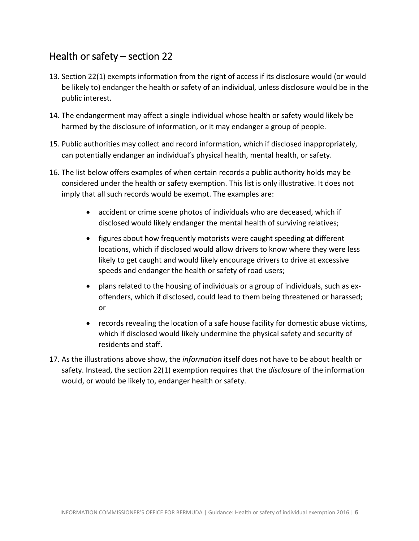# <span id="page-5-0"></span>Health or safety – section 22

- 13. Section 22(1) exempts information from the right of access if its disclosure would (or would be likely to) endanger the health or safety of an individual, unless disclosure would be in the public interest.
- 14. The endangerment may affect a single individual whose health or safety would likely be harmed by the disclosure of information, or it may endanger a group of people.
- 15. Public authorities may collect and record information, which if disclosed inappropriately, can potentially endanger an individual's physical health, mental health, or safety.
- 16. The list below offers examples of when certain records a public authority holds may be considered under the health or safety exemption. This list is only illustrative. It does not imply that all such records would be exempt. The examples are:
	- accident or crime scene photos of individuals who are deceased, which if disclosed would likely endanger the mental health of surviving relatives;
	- figures about how frequently motorists were caught speeding at different locations, which if disclosed would allow drivers to know where they were less likely to get caught and would likely encourage drivers to drive at excessive speeds and endanger the health or safety of road users;
	- plans related to the housing of individuals or a group of individuals, such as exoffenders, which if disclosed, could lead to them being threatened or harassed; or
	- records revealing the location of a safe house facility for domestic abuse victims, which if disclosed would likely undermine the physical safety and security of residents and staff.
- 17. As the illustrations above show, the *information* itself does not have to be about health or safety. Instead, the section 22(1) exemption requires that the *disclosure* of the information would, or would be likely to, endanger health or safety.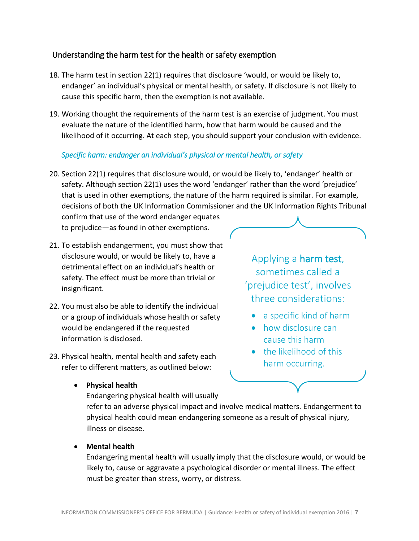### <span id="page-6-0"></span>Understanding the harm test for the health or safety exemption

- 18. The harm test in section 22(1) requires that disclosure 'would, or would be likely to, endanger' an individual's physical or mental health, or safety. If disclosure is not likely to cause this specific harm, then the exemption is not available.
- 19. Working thought the requirements of the harm test is an exercise of judgment. You must evaluate the nature of the identified harm, how that harm would be caused and the likelihood of it occurring. At each step, you should support your conclusion with evidence.

### *Specific harm: endanger an individual's physical or mental health, or safety*

20. Section 22(1) requires that disclosure would, or would be likely to, 'endanger' health or safety. Although section 22(1) uses the word 'endanger' rather than the word 'prejudice' that is used in other exemptions, the nature of the harm required is similar. For example, decisions of both the UK Information Commissioner and the UK Information Rights Tribunal

confirm that use of the word endanger equates to prejudice—as found in other exemptions.

- 21. To establish endangerment, you must show that disclosure would, or would be likely to, have a detrimental effect on an individual's health or safety. The effect must be more than trivial or insignificant.
- 22. You must also be able to identify the individual or a group of individuals whose health or safety would be endangered if the requested information is disclosed.
- 23. Physical health, mental health and safety each refer to different matters, as outlined below:

**Physical health**

Endangering physical health will usually

refer to an adverse physical impact and involve medical matters. Endangerment to physical health could mean endangering someone as a result of physical injury, illness or disease.

**Mental health**

Endangering mental health will usually imply that the disclosure would, or would be likely to, cause or aggravate a psychological disorder or mental illness. The effect must be greater than stress, worry, or distress.



three considerations:

- a specific kind of harm
- how disclosure can cause this harm
- the likelihood of this harm occurring.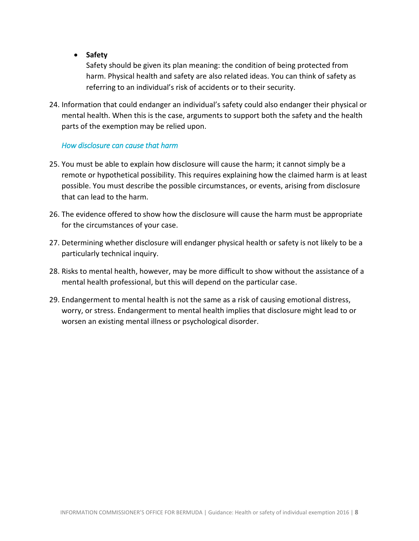**Safety**

Safety should be given its plan meaning: the condition of being protected from harm. Physical health and safety are also related ideas. You can think of safety as referring to an individual's risk of accidents or to their security.

24. Information that could endanger an individual's safety could also endanger their physical or mental health. When this is the case, arguments to support both the safety and the health parts of the exemption may be relied upon.

#### *How disclosure can cause that harm*

- 25. You must be able to explain how disclosure will cause the harm; it cannot simply be a remote or hypothetical possibility. This requires explaining how the claimed harm is at least possible. You must describe the possible circumstances, or events, arising from disclosure that can lead to the harm.
- 26. The evidence offered to show how the disclosure will cause the harm must be appropriate for the circumstances of your case.
- 27. Determining whether disclosure will endanger physical health or safety is not likely to be a particularly technical inquiry.
- 28. Risks to mental health, however, may be more difficult to show without the assistance of a mental health professional, but this will depend on the particular case.
- 29. Endangerment to mental health is not the same as a risk of causing emotional distress, worry, or stress. Endangerment to mental health implies that disclosure might lead to or worsen an existing mental illness or psychological disorder.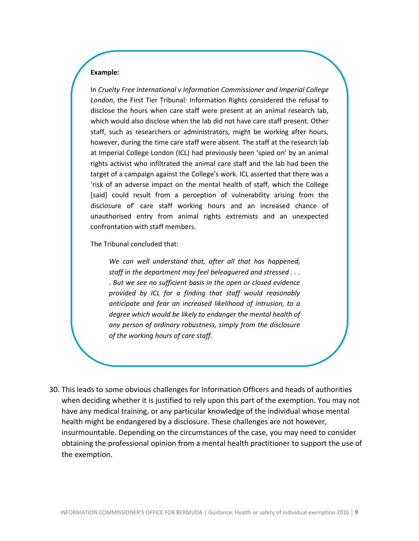In *Cruelty Free International v Information Commissioner and Imperial College London*, the First Tier Tribunal: Information Rights considered the refusal to disclose the hours when care staff were present at an animal research lab, which would also disclose when the lab did not have care staff present. Other staff, such as researchers or administrators, might be working after hours, however, during the time care staff were absent. The staff at the research lab at Imperial College London (ICL) had previously been 'spied on' by an animal rights activist who infiltrated the animal care staff and the lab had been the target of a campaign against the College's work. ICL asserted that there was a 'risk of an adverse impact on the mental health of staff, which the College [said] could result from a perception of vulnerability arising from the disclosure of' care staff working hours and an increased chance of unauthorised entry from animal rights extremists and an unexpected confrontation with staff members.

The Tribunal concluded that:

*We can well understand that, after all that has happened, staff in the department may feel beleaguered and stressed . . . . But we see no sufficient basis in the open or closed evidence provided by ICL for a finding that staff would reasonably anticipate and fear an increased likelihood of intrusion, to a degree which would be likely to endanger the mental health of any person of ordinary robustness, simply from the disclosure of the working hours of care staff.*

30. This leads to some obvious challenges for Information Officers and heads of authorities when deciding whether it is justified to rely upon this part of the exemption. You may not have any medical training, or any particular knowledge of the individual whose mental health might be endangered by a disclosure. These challenges are not however, insurmountable. Depending on the circumstances of the case, you may need to consider obtaining the professional opinion from a mental health practitioner to support the use of the exemption.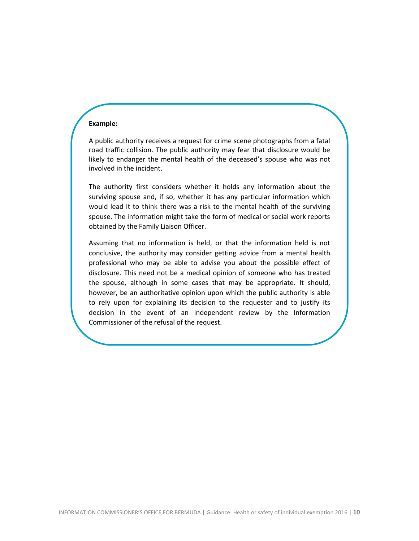A public authority receives a request for crime scene photographs from a fatal road traffic collision. The public authority may fear that disclosure would be likely to endanger the mental health of the deceased's spouse who was not involved in the incident.

The authority first considers whether it holds any information about the surviving spouse and, if so, whether it has any particular information which would lead it to think there was a risk to the mental health of the surviving spouse. The information might take the form of medical or social work reports obtained by the Family Liaison Officer.

Assuming that no information is held, or that the information held is not conclusive, the authority may consider getting advice from a mental health professional who may be able to advise you about the possible effect of disclosure. This need not be a medical opinion of someone who has treated the spouse, although in some cases that may be appropriate. It should, however, be an authoritative opinion upon which the public authority is able to rely upon for explaining its decision to the requester and to justify its decision in the event of an independent review by the Information Commissioner of the refusal of the request.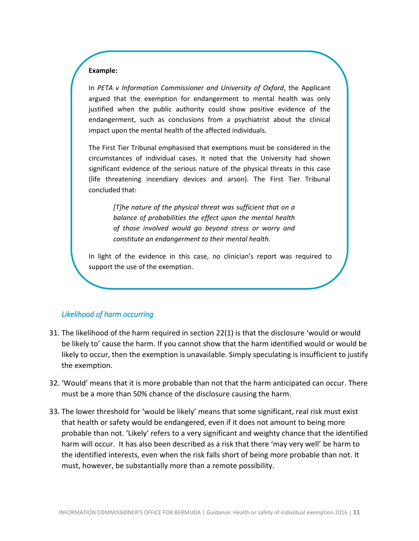In *PETA v Information Commissioner and University of Oxford*, the Applicant argued that the exemption for endangerment to mental health was only justified when the public authority could show positive evidence of the endangerment, such as conclusions from a psychiatrist about the clinical impact upon the mental health of the affected individuals.

The First Tier Tribunal emphasised that exemptions must be considered in the circumstances of individual cases. It noted that the University had shown significant evidence of the serious nature of the physical threats in this case (life threatening incendiary devices and arson). The First Tier Tribunal concluded that:

> *[T]he nature of the physical threat was sufficient that on a balance of probabilities the effect upon the mental health of those involved would go beyond stress or worry and constitute an endangerment to their mental health.*

In light of the evidence in this case, no clinician's report was required to support the use of the exemption.

#### *Likelihood of harm occurring*

- 31. The likelihood of the harm required in section 22(1) is that the disclosure 'would or would be likely to' cause the harm. If you cannot show that the harm identified would or would be likely to occur, then the exemption is unavailable. Simply speculating is insufficient to justify the exemption.
- 32. 'Would' means that it is more probable than not that the harm anticipated can occur. There must be a more than 50% chance of the disclosure causing the harm.
- 33. The lower threshold for 'would be likely' means that some significant, real risk must exist that health or safety would be endangered, even if it does not amount to being more probable than not. 'Likely' refers to a very significant and weighty chance that the identified harm will occur. It has also been described as a risk that there 'may very well' be harm to the identified interests, even when the risk falls short of being more probable than not. It must, however, be substantially more than a remote possibility.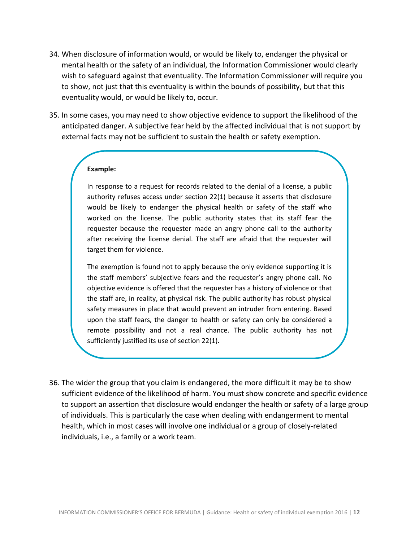- 34. When disclosure of information would, or would be likely to, endanger the physical or mental health or the safety of an individual, the Information Commissioner would clearly wish to safeguard against that eventuality. The Information Commissioner will require you to show, not just that this eventuality is within the bounds of possibility, but that this eventuality would, or would be likely to, occur.
- 35. In some cases, you may need to show objective evidence to support the likelihood of the anticipated danger. A subjective fear held by the affected individual that is not support by external facts may not be sufficient to sustain the health or safety exemption.

In response to a request for records related to the denial of a license, a public authority refuses access under section 22(1) because it asserts that disclosure would be likely to endanger the physical health or safety of the staff who worked on the license. The public authority states that its staff fear the requester because the requester made an angry phone call to the authority after receiving the license denial. The staff are afraid that the requester will target them for violence.

The exemption is found not to apply because the only evidence supporting it is the staff members' subjective fears and the requester's angry phone call. No objective evidence is offered that the requester has a history of violence or that the staff are, in reality, at physical risk. The public authority has robust physical safety measures in place that would prevent an intruder from entering. Based upon the staff fears, the danger to health or safety can only be considered a remote possibility and not a real chance. The public authority has not sufficiently justified its use of section 22(1).

36. The wider the group that you claim is endangered, the more difficult it may be to show sufficient evidence of the likelihood of harm. You must show concrete and specific evidence to support an assertion that disclosure would endanger the health or safety of a large group of individuals. This is particularly the case when dealing with endangerment to mental health, which in most cases will involve one individual or a group of closely-related individuals, i.e., a family or a work team.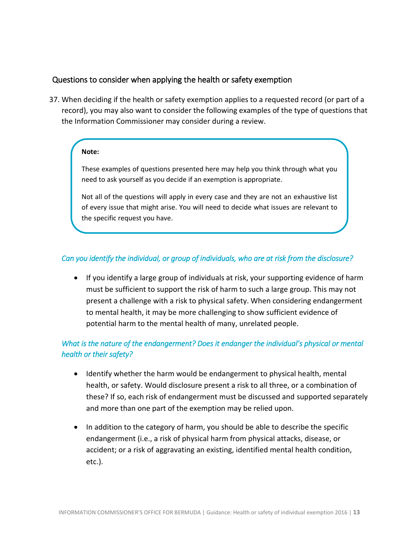### <span id="page-12-0"></span>Questions to consider when applying the health or safety exemption

37. When deciding if the health or safety exemption applies to a requested record (or part of a record), you may also want to consider the following examples of the type of questions that the Information Commissioner may consider during a review.

#### **Note:**

These examples of questions presented here may help you think through what you need to ask yourself as you decide if an exemption is appropriate.

Not all of the questions will apply in every case and they are not an exhaustive list of every issue that might arise. You will need to decide what issues are relevant to the specific request you have.

### *Can you identify the individual, or group of individuals, who are at risk from the disclosure?*

• If you identify a large group of individuals at risk, your supporting evidence of harm must be sufficient to support the risk of harm to such a large group. This may not present a challenge with a risk to physical safety. When considering endangerment to mental health, it may be more challenging to show sufficient evidence of potential harm to the mental health of many, unrelated people.

## *What is the nature of the endangerment? Does it endanger the individual's physical or mental health or their safety?*

- Identify whether the harm would be endangerment to physical health, mental health, or safety. Would disclosure present a risk to all three, or a combination of these? If so, each risk of endangerment must be discussed and supported separately and more than one part of the exemption may be relied upon.
- In addition to the category of harm, you should be able to describe the specific endangerment (i.e., a risk of physical harm from physical attacks, disease, or accident; or a risk of aggravating an existing, identified mental health condition, etc.).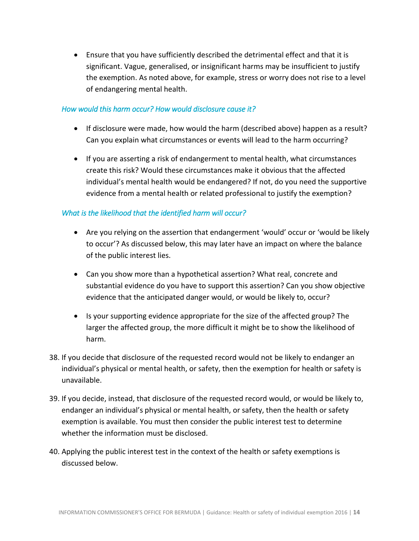Ensure that you have sufficiently described the detrimental effect and that it is significant. Vague, generalised, or insignificant harms may be insufficient to justify the exemption. As noted above, for example, stress or worry does not rise to a level of endangering mental health.

### *How would this harm occur? How would disclosure cause it?*

- If disclosure were made, how would the harm (described above) happen as a result? Can you explain what circumstances or events will lead to the harm occurring?
- If you are asserting a risk of endangerment to mental health, what circumstances create this risk? Would these circumstances make it obvious that the affected individual's mental health would be endangered? If not, do you need the supportive evidence from a mental health or related professional to justify the exemption?

### *What is the likelihood that the identified harm will occur?*

- Are you relying on the assertion that endangerment 'would' occur or 'would be likely to occur'? As discussed below, this may later have an impact on where the balance of the public interest lies.
- Can you show more than a hypothetical assertion? What real, concrete and substantial evidence do you have to support this assertion? Can you show objective evidence that the anticipated danger would, or would be likely to, occur?
- Is your supporting evidence appropriate for the size of the affected group? The larger the affected group, the more difficult it might be to show the likelihood of harm.
- 38. If you decide that disclosure of the requested record would not be likely to endanger an individual's physical or mental health, or safety, then the exemption for health or safety is unavailable.
- 39. If you decide, instead, that disclosure of the requested record would, or would be likely to, endanger an individual's physical or mental health, or safety, then the health or safety exemption is available. You must then consider the public interest test to determine whether the information must be disclosed.
- 40. Applying the public interest test in the context of the health or safety exemptions is discussed below.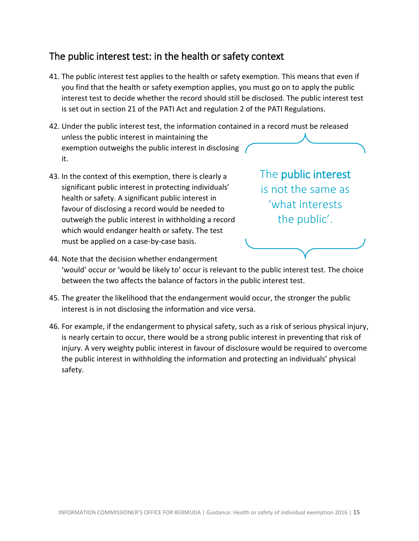# <span id="page-14-0"></span>The public interest test: in the health or safety context

- 41. The public interest test applies to the health or safety exemption. This means that even if you find that the health or safety exemption applies, you must go on to apply the public interest test to decide whether the record should still be disclosed. The public interest test is set out in section 21 of the PATI Act and regulation 2 of the PATI Regulations.
- 42. Under the public interest test, the information contained in a record must be released unless the public interest in maintaining the exemption outweighs the public interest in disclosing it.
- 43. In the context of this exemption, there is clearly a significant public interest in protecting individuals' health or safety. A significant public interest in favour of disclosing a record would be needed to outweigh the public interest in withholding a record which would endanger health or safety. The test must be applied on a case-by-case basis.

The public interest is not the same as 'what interests the public'.

- 44. Note that the decision whether endangerment 'would' occur or 'would be likely to' occur is relevant to the public interest test. The choice between the two affects the balance of factors in the public interest test.
- 45. The greater the likelihood that the endangerment would occur, the stronger the public interest is in not disclosing the information and vice versa.
- 46. For example, if the endangerment to physical safety, such as a risk of serious physical injury, is nearly certain to occur, there would be a strong public interest in preventing that risk of injury. A very weighty public interest in favour of disclosure would be required to overcome the public interest in withholding the information and protecting an individuals' physical safety.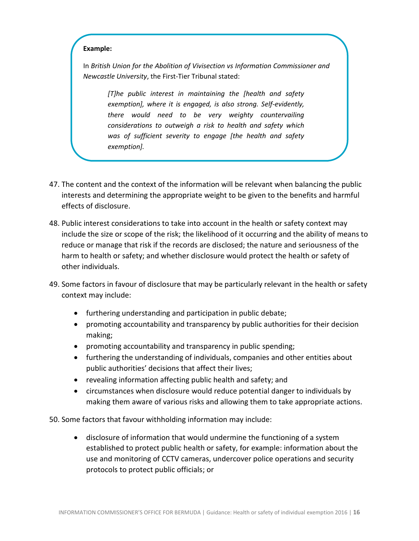In *British Union for the Abolition of Vivisection vs Information Commissioner and Newcastle University*, the First-Tier Tribunal stated:

> *[T]he public interest in maintaining the [health and safety exemption], where it is engaged, is also strong. Self-evidently, there would need to be very weighty countervailing considerations to outweigh a risk to health and safety which was of sufficient severity to engage [the health and safety exemption].*

- 47. The content and the context of the information will be relevant when balancing the public interests and determining the appropriate weight to be given to the benefits and harmful effects of disclosure.
- 48. Public interest considerations to take into account in the health or safety context may include the size or scope of the risk; the likelihood of it occurring and the ability of means to reduce or manage that risk if the records are disclosed; the nature and seriousness of the harm to health or safety; and whether disclosure would protect the health or safety of other individuals.
- 49. Some factors in favour of disclosure that may be particularly relevant in the health or safety context may include:
	- furthering understanding and participation in public debate;
	- promoting accountability and transparency by public authorities for their decision making;
	- promoting accountability and transparency in public spending;
	- furthering the understanding of individuals, companies and other entities about public authorities' decisions that affect their lives;
	- revealing information affecting public health and safety; and
	- circumstances when disclosure would reduce potential danger to individuals by making them aware of various risks and allowing them to take appropriate actions.

50. Some factors that favour withholding information may include:

 disclosure of information that would undermine the functioning of a system established to protect public health or safety, for example: information about the use and monitoring of CCTV cameras, undercover police operations and security protocols to protect public officials; or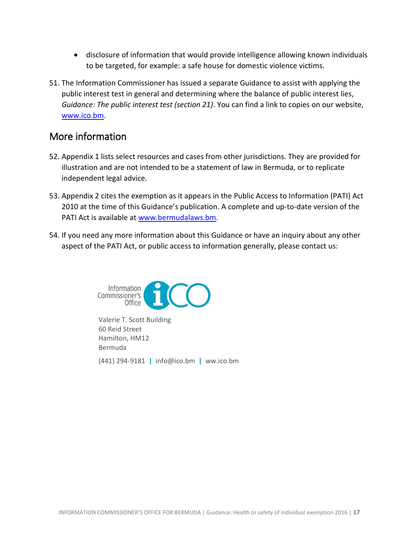- disclosure of information that would provide intelligence allowing known individuals to be targeted, for example: a safe house for domestic violence victims.
- 51. The Information Commissioner has issued a separate Guidance to assist with applying the public interest test in general and determining where the balance of public interest lies, *Guidance: The public interest test (section 21)*. You can find a link to copies on our website, [www.ico.bm.](http://www.ico.bm/)

# <span id="page-16-0"></span>More information

- 52. Appendix 1 lists select resources and cases from other jurisdictions. They are provided for illustration and are not intended to be a statement of law in Bermuda, or to replicate independent legal advice.
- 53. Appendix 2 cites the exemption as it appears in the Public Access to Information (PATI) Act 2010 at the time of this Guidance's publication. A complete and up-to-date version of the PATI Act is available at [www.bermudalaws.bm.](http://www.bermudalaws.bm/)
- 54. If you need any more information about this Guidance or have an inquiry about any other aspect of the PATI Act, or public access to information generally, please contact us:



Valerie T. Scott Building 60 Reid Street Hamilton, HM12 Bermuda (441) 294-9181 **|** info@ico.bm **|** ww.ico.bm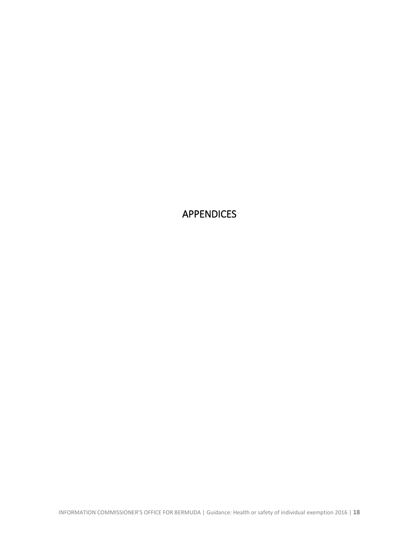<span id="page-17-0"></span>APPENDICES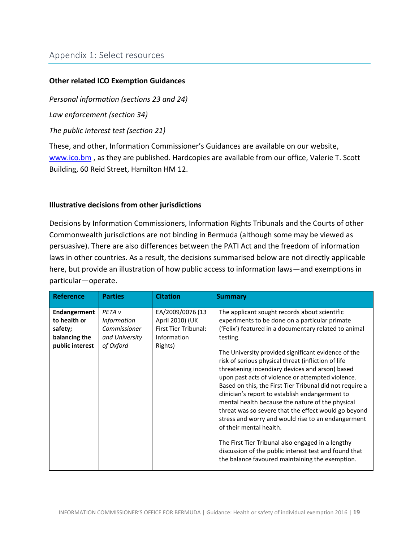### **Other related ICO Exemption Guidances**

*Personal information (sections 23 and 24)*

*Law enforcement (section 34)*

*The public interest test (section 21)*

These, and other, Information Commissioner's Guidances are available on our website, [www.ico.bm](http://www.ico.bm/), as they are published. Hardcopies are available from our office, Valerie T. Scott Building, 60 Reid Street, Hamilton HM 12.

#### **Illustrative decisions from other jurisdictions**

Decisions by Information Commissioners, Information Rights Tribunals and the Courts of other Commonwealth jurisdictions are not binding in Bermuda (although some may be viewed as persuasive). There are also differences between the PATI Act and the freedom of information laws in other countries. As a result, the decisions summarised below are not directly applicable here, but provide an illustration of how public access to information laws—and exemptions in particular—operate.

| <b>Reference</b>                                                            | <b>Parties</b>                                                                         | <b>Citation</b>                                                                              | <b>Summary</b>                                                                                                                                                                                                                                                                                                                                                                                                                                                                                                                                                                                                                                                                                                                                                                                                                                                          |
|-----------------------------------------------------------------------------|----------------------------------------------------------------------------------------|----------------------------------------------------------------------------------------------|-------------------------------------------------------------------------------------------------------------------------------------------------------------------------------------------------------------------------------------------------------------------------------------------------------------------------------------------------------------------------------------------------------------------------------------------------------------------------------------------------------------------------------------------------------------------------------------------------------------------------------------------------------------------------------------------------------------------------------------------------------------------------------------------------------------------------------------------------------------------------|
| Endangerment<br>to health or<br>safety;<br>balancing the<br>public interest | PETA <sub>v</sub><br><b>Information</b><br>Commissioner<br>and University<br>of Oxford | EA/2009/0076 (13<br>April 2010) (UK<br><b>First Tier Tribunal:</b><br>Information<br>Rights) | The applicant sought records about scientific<br>experiments to be done on a particular primate<br>('Felix') featured in a documentary related to animal<br>testing.<br>The University provided significant evidence of the<br>risk of serious physical threat (infliction of life<br>threatening incendiary devices and arson) based<br>upon past acts of violence or attempted violence.<br>Based on this, the First Tier Tribunal did not require a<br>clinician's report to establish endangerment to<br>mental health because the nature of the physical<br>threat was so severe that the effect would go beyond<br>stress and worry and would rise to an endangerment<br>of their mental health.<br>The First Tier Tribunal also engaged in a lengthy<br>discussion of the public interest test and found that<br>the balance favoured maintaining the exemption. |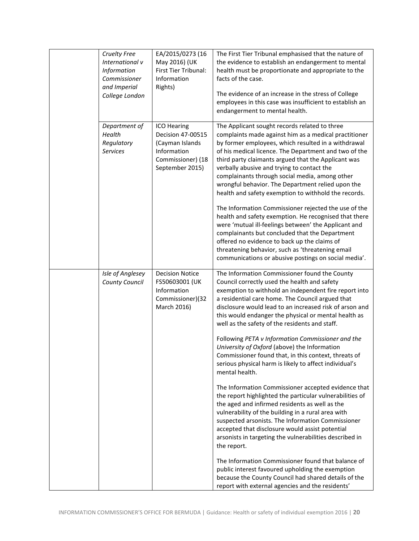| <b>Cruelty Free</b><br>International v<br>Information<br>Commissioner<br>and Imperial<br>College London | EA/2015/0273 (16<br>May 2016) (UK<br>First Tier Tribunal:<br>Information<br>Rights)                        | The First Tier Tribunal emphasised that the nature of<br>the evidence to establish an endangerment to mental<br>health must be proportionate and appropriate to the<br>facts of the case.<br>The evidence of an increase in the stress of College<br>employees in this case was insufficient to establish an<br>endangerment to mental health.                                                                                                                                                                                                                                                                                                                                                                                                                                                                                                                                    |
|---------------------------------------------------------------------------------------------------------|------------------------------------------------------------------------------------------------------------|-----------------------------------------------------------------------------------------------------------------------------------------------------------------------------------------------------------------------------------------------------------------------------------------------------------------------------------------------------------------------------------------------------------------------------------------------------------------------------------------------------------------------------------------------------------------------------------------------------------------------------------------------------------------------------------------------------------------------------------------------------------------------------------------------------------------------------------------------------------------------------------|
| Department of<br>Health<br>Regulatory<br><b>Services</b>                                                | ICO Hearing<br>Decision 47-00515<br>(Cayman Islands<br>Information<br>Commissioner) (18<br>September 2015) | The Applicant sought records related to three<br>complaints made against him as a medical practitioner<br>by former employees, which resulted in a withdrawal<br>of his medical licence. The Department and two of the<br>third party claimants argued that the Applicant was<br>verbally abusive and trying to contact the<br>complainants through social media, among other<br>wrongful behavior. The Department relied upon the<br>health and safety exemption to withhold the records.<br>The Information Commissioner rejected the use of the<br>health and safety exemption. He recognised that there<br>were 'mutual ill-feelings between' the Applicant and<br>complainants but concluded that the Department<br>offered no evidence to back up the claims of<br>threatening behavior, such as 'threatening email<br>communications or abusive postings on social media'. |
| Isle of Anglesey<br>County Council                                                                      | <b>Decision Notice</b><br>FS50603001 (UK<br>Information<br>Commissioner)(32<br>March 2016)                 | The Information Commissioner found the County<br>Council correctly used the health and safety<br>exemption to withhold an independent fire report into<br>a residential care home. The Council argued that<br>disclosure would lead to an increased risk of arson and<br>this would endanger the physical or mental health as<br>well as the safety of the residents and staff.<br>Following PETA v Information Commissioner and the<br>University of Oxford (above) the Information<br>Commissioner found that, in this context, threats of<br>serious physical harm is likely to affect individual's<br>mental health.                                                                                                                                                                                                                                                          |
|                                                                                                         |                                                                                                            | The Information Commissioner accepted evidence that<br>the report highlighted the particular vulnerabilities of<br>the aged and infirmed residents as well as the<br>vulnerability of the building in a rural area with<br>suspected arsonists. The Information Commissioner<br>accepted that disclosure would assist potential<br>arsonists in targeting the vulnerabilities described in<br>the report.                                                                                                                                                                                                                                                                                                                                                                                                                                                                         |
|                                                                                                         |                                                                                                            | The Information Commissioner found that balance of<br>public interest favoured upholding the exemption<br>because the County Council had shared details of the<br>report with external agencies and the residents'                                                                                                                                                                                                                                                                                                                                                                                                                                                                                                                                                                                                                                                                |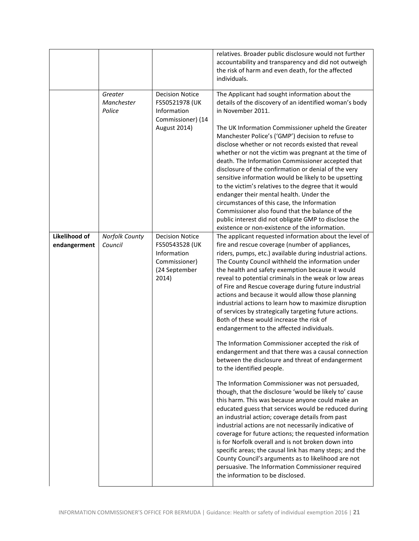|                               |                                 |                                                                                                    | relatives. Broader public disclosure would not further<br>accountability and transparency and did not outweigh<br>the risk of harm and even death, for the affected<br>individuals.                                                                                                                                                                                                                                                                                                                                                                                                                                                                                                                                                                                                                                                                                                                                                                                                                                                                                                                                                                                                                                                                                                                                                                                                                                                                                                                                               |
|-------------------------------|---------------------------------|----------------------------------------------------------------------------------------------------|-----------------------------------------------------------------------------------------------------------------------------------------------------------------------------------------------------------------------------------------------------------------------------------------------------------------------------------------------------------------------------------------------------------------------------------------------------------------------------------------------------------------------------------------------------------------------------------------------------------------------------------------------------------------------------------------------------------------------------------------------------------------------------------------------------------------------------------------------------------------------------------------------------------------------------------------------------------------------------------------------------------------------------------------------------------------------------------------------------------------------------------------------------------------------------------------------------------------------------------------------------------------------------------------------------------------------------------------------------------------------------------------------------------------------------------------------------------------------------------------------------------------------------------|
|                               | Greater<br>Manchester<br>Police | <b>Decision Notice</b><br>FS50521978 (UK<br>Information<br>Commissioner) (14<br>August 2014)       | The Applicant had sought information about the<br>details of the discovery of an identified woman's body<br>in November 2011.<br>The UK Information Commissioner upheld the Greater<br>Manchester Police's ('GMP') decision to refuse to<br>disclose whether or not records existed that reveal<br>whether or not the victim was pregnant at the time of<br>death. The Information Commissioner accepted that<br>disclosure of the confirmation or denial of the very<br>sensitive information would be likely to be upsetting<br>to the victim's relatives to the degree that it would<br>endanger their mental health. Under the<br>circumstances of this case, the Information<br>Commissioner also found that the balance of the<br>public interest did not obligate GMP to disclose the<br>existence or non-existence of the information.                                                                                                                                                                                                                                                                                                                                                                                                                                                                                                                                                                                                                                                                                    |
| Likelihood of<br>endangerment | Norfolk County<br>Council       | <b>Decision Notice</b><br>FS50543528 (UK<br>Information<br>Commissioner)<br>(24 September<br>2014) | The applicant requested information about the level of<br>fire and rescue coverage (number of appliances,<br>riders, pumps, etc.) available during industrial actions.<br>The County Council withheld the information under<br>the health and safety exemption because it would<br>reveal to potential criminals in the weak or low areas<br>of Fire and Rescue coverage during future industrial<br>actions and because it would allow those planning<br>industrial actions to learn how to maximize disruption<br>of services by strategically targeting future actions.<br>Both of these would increase the risk of<br>endangerment to the affected individuals.<br>The Information Commissioner accepted the risk of<br>endangerment and that there was a causal connection<br>between the disclosure and threat of endangerment<br>to the identified people.<br>The Information Commissioner was not persuaded,<br>though, that the disclosure 'would be likely to' cause<br>this harm. This was because anyone could make an<br>educated guess that services would be reduced during<br>an industrial action; coverage details from past<br>industrial actions are not necessarily indicative of<br>coverage for future actions; the requested information<br>is for Norfolk overall and is not broken down into<br>specific areas; the causal link has many steps; and the<br>County Council's arguments as to likelihood are not<br>persuasive. The Information Commissioner required<br>the information to be disclosed. |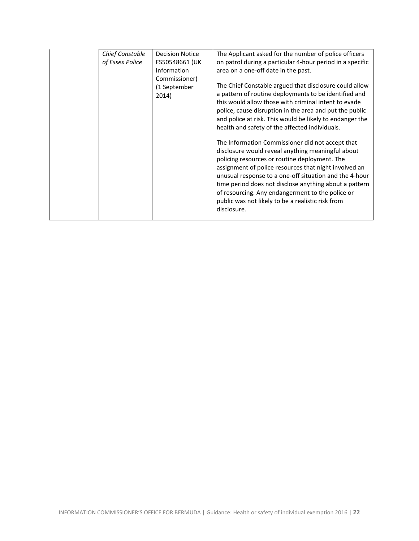| Chief Constable<br>of Essex Police | Decision Notice<br>FS50548661 (UK<br>Information<br>Commissioner)<br>(1 September<br>2014) | The Applicant asked for the number of police officers<br>on patrol during a particular 4-hour period in a specific<br>area on a one-off date in the past.<br>The Chief Constable argued that disclosure could allow<br>a pattern of routine deployments to be identified and<br>this would allow those with criminal intent to evade<br>police, cause disruption in the area and put the public<br>and police at risk. This would be likely to endanger the<br>health and safety of the affected individuals.<br>The Information Commissioner did not accept that<br>disclosure would reveal anything meaningful about<br>policing resources or routine deployment. The<br>assignment of police resources that night involved an<br>unusual response to a one-off situation and the 4-hour<br>time period does not disclose anything about a pattern<br>of resourcing. Any endangerment to the police or<br>public was not likely to be a realistic risk from |
|------------------------------------|--------------------------------------------------------------------------------------------|---------------------------------------------------------------------------------------------------------------------------------------------------------------------------------------------------------------------------------------------------------------------------------------------------------------------------------------------------------------------------------------------------------------------------------------------------------------------------------------------------------------------------------------------------------------------------------------------------------------------------------------------------------------------------------------------------------------------------------------------------------------------------------------------------------------------------------------------------------------------------------------------------------------------------------------------------------------|
|                                    |                                                                                            | disclosure.                                                                                                                                                                                                                                                                                                                                                                                                                                                                                                                                                                                                                                                                                                                                                                                                                                                                                                                                                   |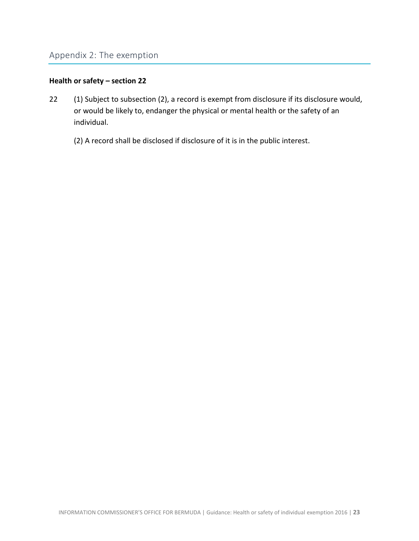### **Health or safety – section 22**

- 22 (1) Subject to subsection (2), a record is exempt from disclosure if its disclosure would, or would be likely to, endanger the physical or mental health or the safety of an individual.
	- (2) A record shall be disclosed if disclosure of it is in the public interest.